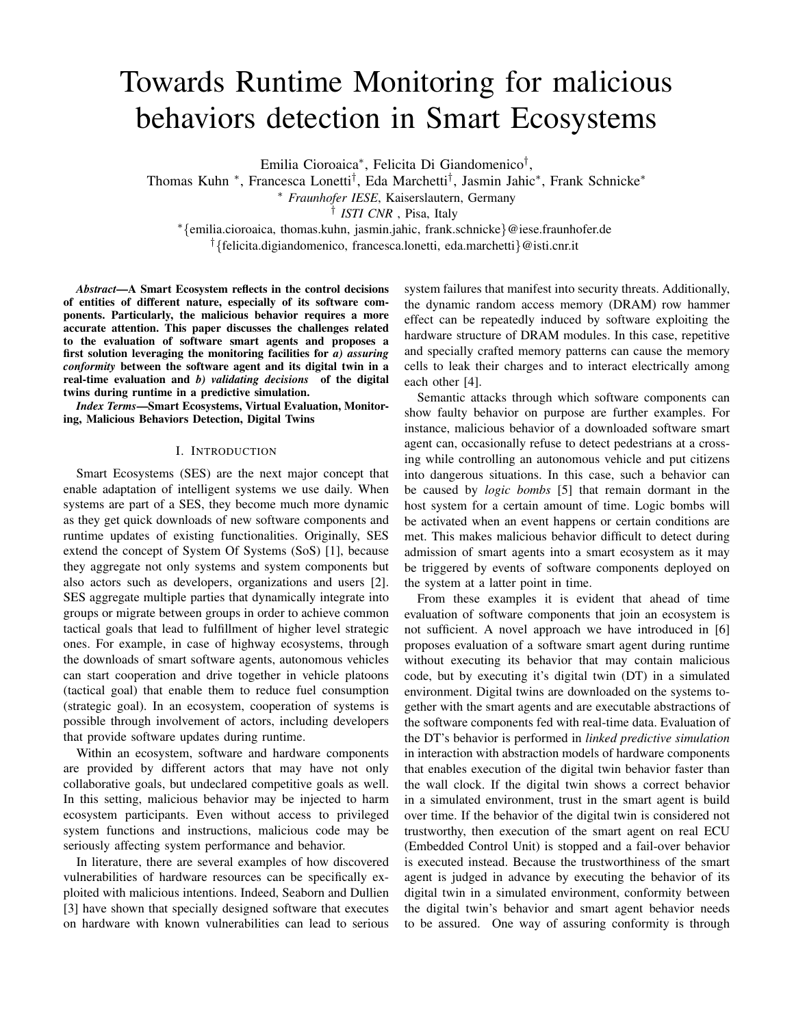# Towards Runtime Monitoring for malicious behaviors detection in Smart Ecosystems

Emilia Cioroaica<sup>∗</sup> , Felicita Di Giandomenico† ,

Thomas Kuhn <sup>∗</sup> , Francesca Lonetti† , Eda Marchetti† , Jasmin Jahic<sup>∗</sup> , Frank Schnicke<sup>∗</sup>

<sup>∗</sup> *Fraunhofer IESE*, Kaiserslautern, Germany

† *ISTI CNR* , Pisa, Italy

<sup>∗</sup>{emilia.cioroaica, thomas.kuhn, jasmin.jahic, frank.schnicke}@iese.fraunhofer.de †{felicita.digiandomenico, francesca.lonetti, eda.marchetti}@isti.cnr.it

*Abstract*—A Smart Ecosystem reflects in the control decisions of entities of different nature, especially of its software components. Particularly, the malicious behavior requires a more accurate attention. This paper discusses the challenges related to the evaluation of software smart agents and proposes a first solution leveraging the monitoring facilities for *a) assuring conformity* between the software agent and its digital twin in a real-time evaluation and *b) validating decisions* of the digital twins during runtime in a predictive simulation.

*Index Terms*—Smart Ecosystems, Virtual Evaluation, Monitoring, Malicious Behaviors Detection, Digital Twins

#### I. INTRODUCTION

Smart Ecosystems (SES) are the next major concept that enable adaptation of intelligent systems we use daily. When systems are part of a SES, they become much more dynamic as they get quick downloads of new software components and runtime updates of existing functionalities. Originally, SES extend the concept of System Of Systems (SoS) [1], because they aggregate not only systems and system components but also actors such as developers, organizations and users [2]. SES aggregate multiple parties that dynamically integrate into groups or migrate between groups in order to achieve common tactical goals that lead to fulfillment of higher level strategic ones. For example, in case of highway ecosystems, through the downloads of smart software agents, autonomous vehicles can start cooperation and drive together in vehicle platoons (tactical goal) that enable them to reduce fuel consumption (strategic goal). In an ecosystem, cooperation of systems is possible through involvement of actors, including developers that provide software updates during runtime.

Within an ecosystem, software and hardware components are provided by different actors that may have not only collaborative goals, but undeclared competitive goals as well. In this setting, malicious behavior may be injected to harm ecosystem participants. Even without access to privileged system functions and instructions, malicious code may be seriously affecting system performance and behavior.

In literature, there are several examples of how discovered vulnerabilities of hardware resources can be specifically exploited with malicious intentions. Indeed, Seaborn and Dullien [3] have shown that specially designed software that executes on hardware with known vulnerabilities can lead to serious

system failures that manifest into security threats. Additionally, the dynamic random access memory (DRAM) row hammer effect can be repeatedly induced by software exploiting the hardware structure of DRAM modules. In this case, repetitive and specially crafted memory patterns can cause the memory cells to leak their charges and to interact electrically among each other [4].

Semantic attacks through which software components can show faulty behavior on purpose are further examples. For instance, malicious behavior of a downloaded software smart agent can, occasionally refuse to detect pedestrians at a crossing while controlling an autonomous vehicle and put citizens into dangerous situations. In this case, such a behavior can be caused by *logic bombs* [5] that remain dormant in the host system for a certain amount of time. Logic bombs will be activated when an event happens or certain conditions are met. This makes malicious behavior difficult to detect during admission of smart agents into a smart ecosystem as it may be triggered by events of software components deployed on the system at a latter point in time.

From these examples it is evident that ahead of time evaluation of software components that join an ecosystem is not sufficient. A novel approach we have introduced in [6] proposes evaluation of a software smart agent during runtime without executing its behavior that may contain malicious code, but by executing it's digital twin (DT) in a simulated environment. Digital twins are downloaded on the systems together with the smart agents and are executable abstractions of the software components fed with real-time data. Evaluation of the DT's behavior is performed in *linked predictive simulation* in interaction with abstraction models of hardware components that enables execution of the digital twin behavior faster than the wall clock. If the digital twin shows a correct behavior in a simulated environment, trust in the smart agent is build over time. If the behavior of the digital twin is considered not trustworthy, then execution of the smart agent on real ECU (Embedded Control Unit) is stopped and a fail-over behavior is executed instead. Because the trustworthiness of the smart agent is judged in advance by executing the behavior of its digital twin in a simulated environment, conformity between the digital twin's behavior and smart agent behavior needs to be assured. One way of assuring conformity is through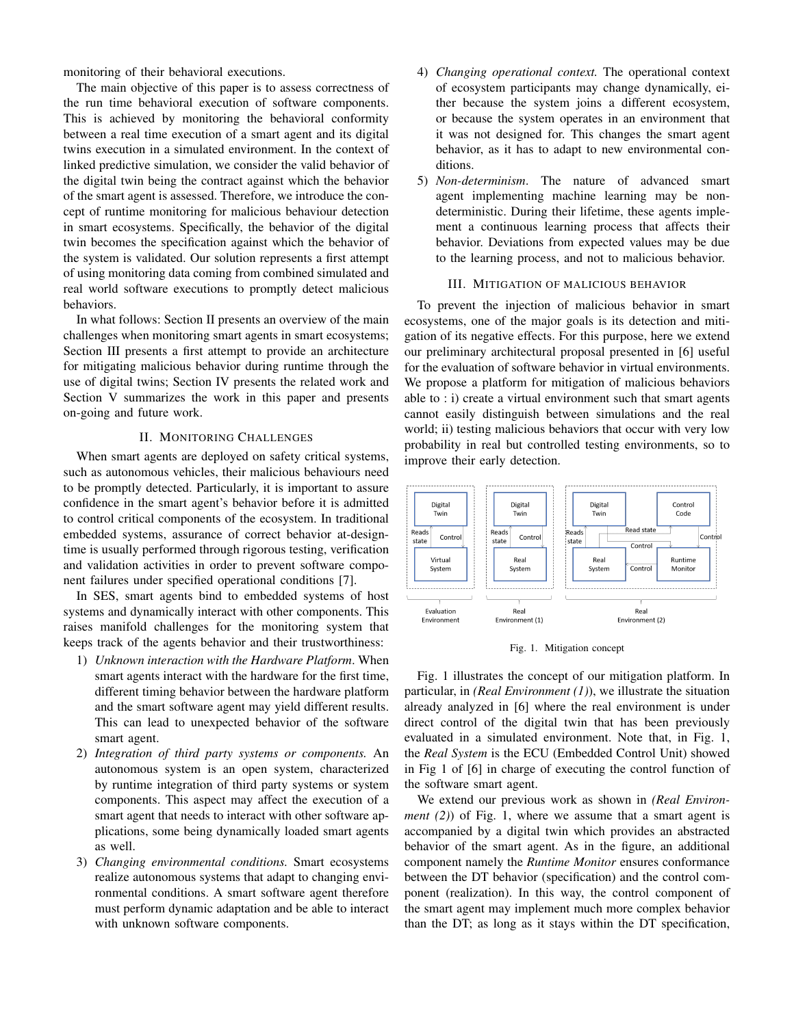monitoring of their behavioral executions.

The main objective of this paper is to assess correctness of the run time behavioral execution of software components. This is achieved by monitoring the behavioral conformity between a real time execution of a smart agent and its digital twins execution in a simulated environment. In the context of linked predictive simulation, we consider the valid behavior of the digital twin being the contract against which the behavior of the smart agent is assessed. Therefore, we introduce the concept of runtime monitoring for malicious behaviour detection in smart ecosystems. Specifically, the behavior of the digital twin becomes the specification against which the behavior of the system is validated. Our solution represents a first attempt of using monitoring data coming from combined simulated and real world software executions to promptly detect malicious behaviors.

In what follows: Section II presents an overview of the main challenges when monitoring smart agents in smart ecosystems; Section III presents a first attempt to provide an architecture for mitigating malicious behavior during runtime through the use of digital twins; Section IV presents the related work and Section V summarizes the work in this paper and presents on-going and future work.

#### II. MONITORING CHALLENGES

When smart agents are deployed on safety critical systems, such as autonomous vehicles, their malicious behaviours need to be promptly detected. Particularly, it is important to assure confidence in the smart agent's behavior before it is admitted to control critical components of the ecosystem. In traditional embedded systems, assurance of correct behavior at-designtime is usually performed through rigorous testing, verification and validation activities in order to prevent software component failures under specified operational conditions [7].

In SES, smart agents bind to embedded systems of host systems and dynamically interact with other components. This raises manifold challenges for the monitoring system that keeps track of the agents behavior and their trustworthiness:

- 1) *Unknown interaction with the Hardware Platform*. When smart agents interact with the hardware for the first time, different timing behavior between the hardware platform and the smart software agent may yield different results. This can lead to unexpected behavior of the software smart agent.
- 2) *Integration of third party systems or components.* An autonomous system is an open system, characterized by runtime integration of third party systems or system components. This aspect may affect the execution of a smart agent that needs to interact with other software applications, some being dynamically loaded smart agents as well.
- 3) *Changing environmental conditions.* Smart ecosystems realize autonomous systems that adapt to changing environmental conditions. A smart software agent therefore must perform dynamic adaptation and be able to interact with unknown software components.
- 4) *Changing operational context.* The operational context of ecosystem participants may change dynamically, either because the system joins a different ecosystem, or because the system operates in an environment that it was not designed for. This changes the smart agent behavior, as it has to adapt to new environmental conditions.
- 5) *Non-determinism*. The nature of advanced smart agent implementing machine learning may be nondeterministic. During their lifetime, these agents implement a continuous learning process that affects their behavior. Deviations from expected values may be due to the learning process, and not to malicious behavior.

# III. MITIGATION OF MALICIOUS BEHAVIOR

To prevent the injection of malicious behavior in smart ecosystems, one of the major goals is its detection and mitigation of its negative effects. For this purpose, here we extend our preliminary architectural proposal presented in [6] useful for the evaluation of software behavior in virtual environments. We propose a platform for mitigation of malicious behaviors able to : i) create a virtual environment such that smart agents cannot easily distinguish between simulations and the real world; ii) testing malicious behaviors that occur with very low probability in real but controlled testing environments, so to improve their early detection.



Fig. 1. Mitigation concept

Fig. 1 illustrates the concept of our mitigation platform. In particular, in *(Real Environment (1)*), we illustrate the situation already analyzed in [6] where the real environment is under direct control of the digital twin that has been previously evaluated in a simulated environment. Note that, in Fig. 1, the *Real System* is the ECU (Embedded Control Unit) showed in Fig 1 of [6] in charge of executing the control function of the software smart agent.

We extend our previous work as shown in *(Real Environment (2)*) of Fig. 1, where we assume that a smart agent is accompanied by a digital twin which provides an abstracted behavior of the smart agent. As in the figure, an additional component namely the *Runtime Monitor* ensures conformance between the DT behavior (specification) and the control component (realization). In this way, the control component of the smart agent may implement much more complex behavior than the DT; as long as it stays within the DT specification,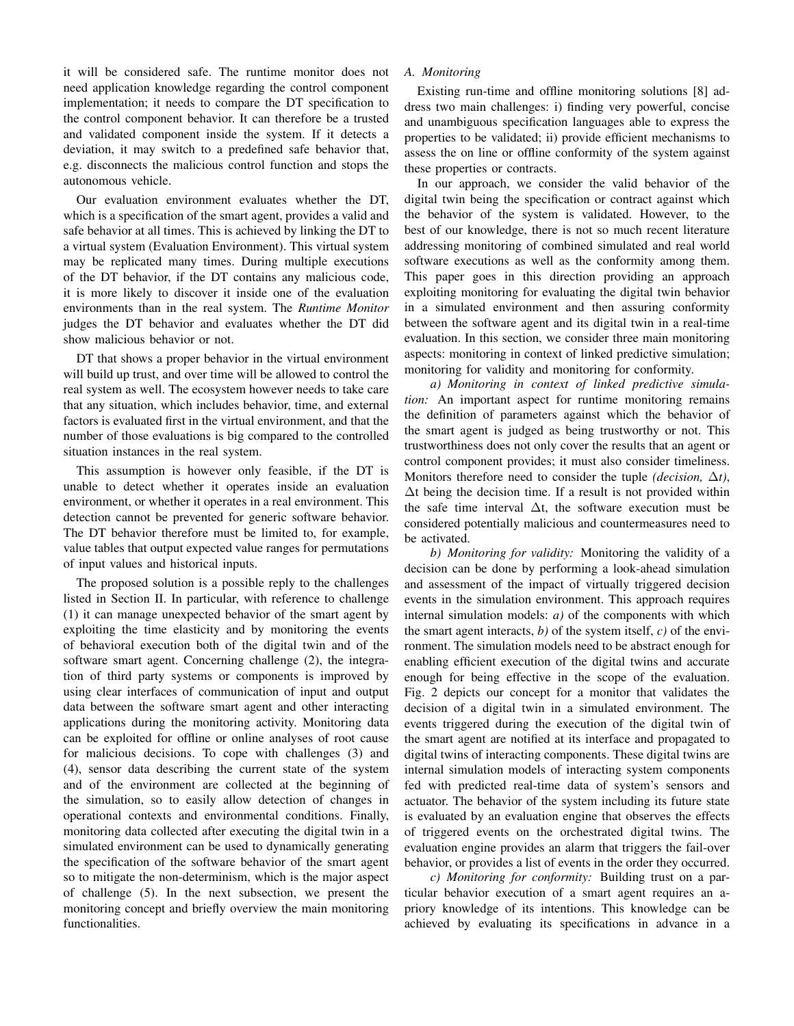it will be considered safe. The runtime monitor does not need application knowledge regarding the control component implementation; it needs to compare the DT specification to the control component behavior. It can therefore be a trusted and validated component inside the system. If it detects a deviation, it may switch to a predefined safe behavior that, e.g. disconnects the malicious control function and stops the autonomous vehicle.

Our evaluation environment evaluates whether the DT, which is a specification of the smart agent, provides a valid and safe behavior at all times. This is achieved by linking the DT to a virtual system (Evaluation Environment). This virtual system may be replicated many times. During multiple executions of the DT behavior, if the DT contains any malicious code, it is more likely to discover it inside one of the evaluation environments than in the real system. The *Runtime Monitor* judges the DT behavior and evaluates whether the DT did show malicious behavior or not.

DT that shows a proper behavior in the virtual environment will build up trust, and over time will be allowed to control the real system as well. The ecosystem however needs to take care that any situation, which includes behavior, time, and external factors is evaluated first in the virtual environment, and that the number of those evaluations is big compared to the controlled situation instances in the real system.

This assumption is however only feasible, if the DT is unable to detect whether it operates inside an evaluation environment, or whether it operates in a real environment. This detection cannot be prevented for generic software behavior. The DT behavior therefore must be limited to, for example, value tables that output expected value ranges for permutations of input values and historical inputs.

The proposed solution is a possible reply to the challenges listed in Section II. In particular, with reference to challenge (1) it can manage unexpected behavior of the smart agent by exploiting the time elasticity and by monitoring the events of behavioral execution both of the digital twin and of the software smart agent. Concerning challenge (2), the integration of third party systems or components is improved by using clear interfaces of communication of input and output data between the software smart agent and other interacting applications during the monitoring activity. Monitoring data can be exploited for offline or online analyses of root cause for malicious decisions. To cope with challenges (3) and (4), sensor data describing the current state of the system and of the environment are collected at the beginning of the simulation, so to easily allow detection of changes in operational contexts and environmental conditions. Finally, monitoring data collected after executing the digital twin in a simulated environment can be used to dynamically generating the specification of the software behavior of the smart agent so to mitigate the non-determinism, which is the major aspect of challenge (5). In the next subsection, we present the monitoring concept and briefly overview the main monitoring functionalities.

# *A. Monitoring*

Existing run-time and offline monitoring solutions [8] address two main challenges: i) finding very powerful, concise and unambiguous specification languages able to express the properties to be validated; ii) provide efficient mechanisms to assess the on line or offline conformity of the system against these properties or contracts.

In our approach, we consider the valid behavior of the digital twin being the specification or contract against which the behavior of the system is validated. However, to the best of our knowledge, there is not so much recent literature addressing monitoring of combined simulated and real world software executions as well as the conformity among them. This paper goes in this direction providing an approach exploiting monitoring for evaluating the digital twin behavior in a simulated environment and then assuring conformity between the software agent and its digital twin in a real-time evaluation. In this section, we consider three main monitoring aspects: monitoring in context of linked predictive simulation; monitoring for validity and monitoring for conformity.

*a) Monitoring in context of linked predictive simulation:* An important aspect for runtime monitoring remains the definition of parameters against which the behavior of the smart agent is judged as being trustworthy or not. This trustworthiness does not only cover the results that an agent or control component provides; it must also consider timeliness. Monitors therefore need to consider the tuple *(decision,* ∆*t)*, ∆t being the decision time. If a result is not provided within the safe time interval ∆t, the software execution must be considered potentially malicious and countermeasures need to be activated.

*b) Monitoring for validity:* Monitoring the validity of a decision can be done by performing a look-ahead simulation and assessment of the impact of virtually triggered decision events in the simulation environment. This approach requires internal simulation models: *a)* of the components with which the smart agent interacts, *b)* of the system itself, *c)* of the environment. The simulation models need to be abstract enough for enabling efficient execution of the digital twins and accurate enough for being effective in the scope of the evaluation. Fig. 2 depicts our concept for a monitor that validates the decision of a digital twin in a simulated environment. The events triggered during the execution of the digital twin of the smart agent are notified at its interface and propagated to digital twins of interacting components. These digital twins are internal simulation models of interacting system components fed with predicted real-time data of system's sensors and actuator. The behavior of the system including its future state is evaluated by an evaluation engine that observes the effects of triggered events on the orchestrated digital twins. The evaluation engine provides an alarm that triggers the fail-over behavior, or provides a list of events in the order they occurred.

*c) Monitoring for conformity:* Building trust on a particular behavior execution of a smart agent requires an apriory knowledge of its intentions. This knowledge can be achieved by evaluating its specifications in advance in a